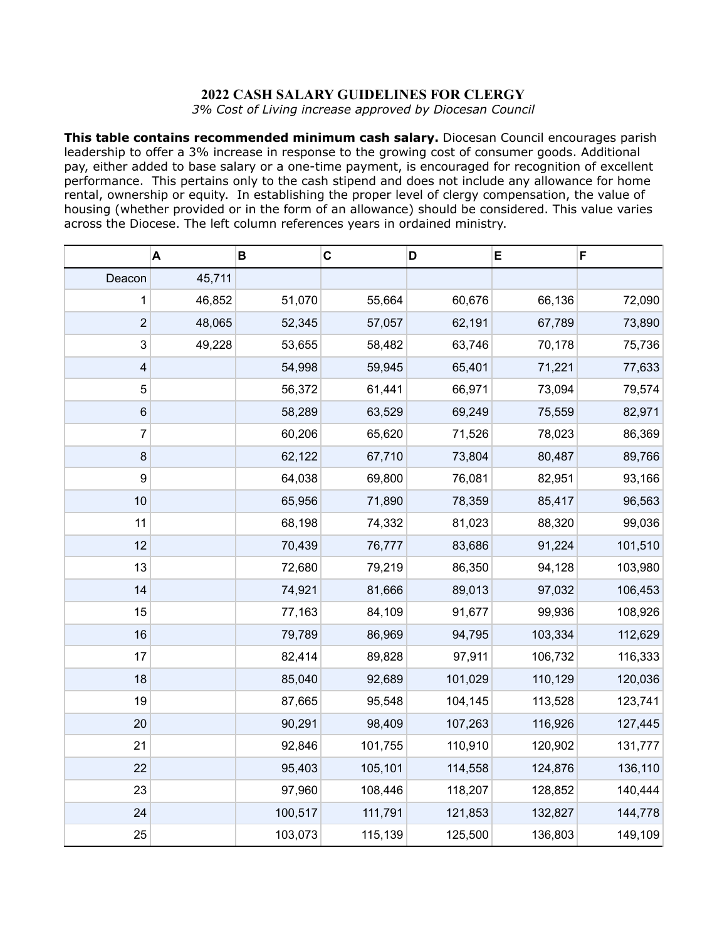## **2022 CASH SALARY GUIDELINES FOR CLERGY**

*3% Cost of Living increase approved by Diocesan Council*

**This table contains recommended minimum cash salary.** Diocesan Council encourages parish leadership to offer a 3% increase in response to the growing cost of consumer goods. Additional pay, either added to base salary or a one-time payment, is encouraged for recognition of excellent performance. This pertains only to the cash stipend and does not include any allowance for home rental, ownership or equity. In establishing the proper level of clergy compensation, the value of housing (whether provided or in the form of an allowance) should be considered. This value varies across the Diocese. The left column references years in ordained ministry.

|                  | A      | B       | $\mathbf C$ | D       | E       | F       |
|------------------|--------|---------|-------------|---------|---------|---------|
| Deacon           | 45,711 |         |             |         |         |         |
| 1                | 46,852 | 51,070  | 55,664      | 60,676  | 66,136  | 72,090  |
| $\overline{c}$   | 48,065 | 52,345  | 57,057      | 62,191  | 67,789  | 73,890  |
| 3                | 49,228 | 53,655  | 58,482      | 63,746  | 70,178  | 75,736  |
| 4                |        | 54,998  | 59,945      | 65,401  | 71,221  | 77,633  |
| 5                |        | 56,372  | 61,441      | 66,971  | 73,094  | 79,574  |
| 6                |        | 58,289  | 63,529      | 69,249  | 75,559  | 82,971  |
| 7                |        | 60,206  | 65,620      | 71,526  | 78,023  | 86,369  |
| $\bf 8$          |        | 62,122  | 67,710      | 73,804  | 80,487  | 89,766  |
| $\boldsymbol{9}$ |        | 64,038  | 69,800      | 76,081  | 82,951  | 93,166  |
| 10               |        | 65,956  | 71,890      | 78,359  | 85,417  | 96,563  |
| 11               |        | 68,198  | 74,332      | 81,023  | 88,320  | 99,036  |
| 12               |        | 70,439  | 76,777      | 83,686  | 91,224  | 101,510 |
| 13               |        | 72,680  | 79,219      | 86,350  | 94,128  | 103,980 |
| 14               |        | 74,921  | 81,666      | 89,013  | 97,032  | 106,453 |
| 15               |        | 77,163  | 84,109      | 91,677  | 99,936  | 108,926 |
| 16               |        | 79,789  | 86,969      | 94,795  | 103,334 | 112,629 |
| 17               |        | 82,414  | 89,828      | 97,911  | 106,732 | 116,333 |
| 18               |        | 85,040  | 92,689      | 101,029 | 110,129 | 120,036 |
| 19               |        | 87,665  | 95,548      | 104,145 | 113,528 | 123,741 |
| 20               |        | 90,291  | 98,409      | 107,263 | 116,926 | 127,445 |
| 21               |        | 92,846  | 101,755     | 110,910 | 120,902 | 131,777 |
| 22               |        | 95,403  | 105,101     | 114,558 | 124,876 | 136,110 |
| 23               |        | 97,960  | 108,446     | 118,207 | 128,852 | 140,444 |
| 24               |        | 100,517 | 111,791     | 121,853 | 132,827 | 144,778 |
| 25               |        | 103,073 | 115,139     | 125,500 | 136,803 | 149,109 |